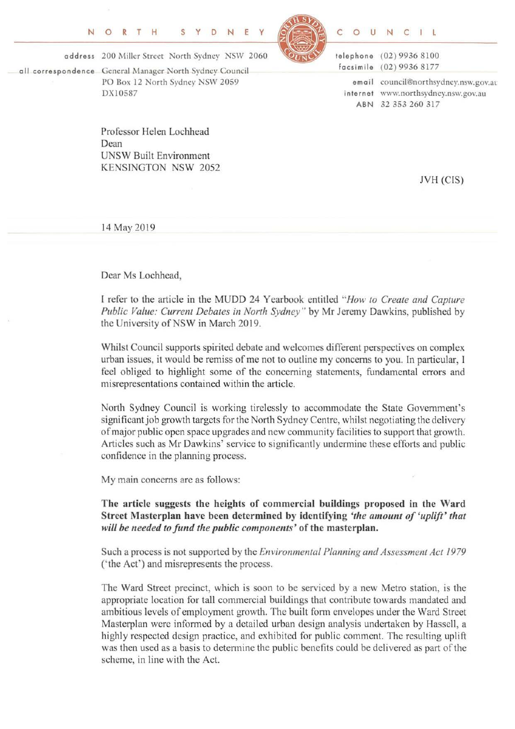

C 0 U N C l

address 200 Miller Street North Sydney NSW 2060

all correspondence General Manager North Srdney Council PO Box 12 North Sydney NSW 2059 DX 10587

> Professor Helen Lochhead Dean UNSW Built Environment KENSINGTON NSW 2052

telephone (02) 9936 8100 facsimile (02) 9936 8177 em ail council@northsydney.nsw.gov.at internet www.northsydncy.nsw.gov.au ABN 32 353 260 317

JVH (CIS)

14 May 2019

Dear Ms Lochhead,

I refer to the article in the MUDD 24 Yearbook entitled *"How to Create and Capture Public Value: Current Debates in North Sydney"* by Mr Jeremy Dawkins, published by the University of NSW in March 2019.

Whilst Council supports spirited debate and welcomes different perspectives on complex urban issues, it would be remiss of me not to outline my concerns to you. In particular, I feel obliged to highlight some of the concerning statements, fundamental errors and misrepresentations contained within the article.

North Sydney Council is working tirelessly to accommodate the State Government's significant job growth targets for the North Sydney Centre, whilst negotiating the delivery of major public open space upgrades and new community facilities to support that growth. Articles such as Mr Dawkins' service to significantly undermine these efforts and public confidence in the planning process.

My main concerns are as follows:

The article suggests the heights of commercial buildings proposed in the Ward Street Masterplan have been determined by identifying *'the amount of 'uplift' that will be needed to fund the public components'* of the masterplan.

Such a process is not supported by the *Environmental Planning and Assessment Act 1979*  ('the Act') and misrepresents the process.

The Ward Street precinct, which is soon to be serviced by a new Metro station, is the appropriate location for tall commercial buildings that contribute towards mandated and ambitious levels of employment growth. The built form envelopes under the Ward Street Masterplan were informed by a detailed urban design analysis undertaken by Hassell, a highly respected design practice, and exhibited for public comment. The resulting uplift was then used as a basis to determine the public benefits could be delivered as part of the scheme, in line with the Act.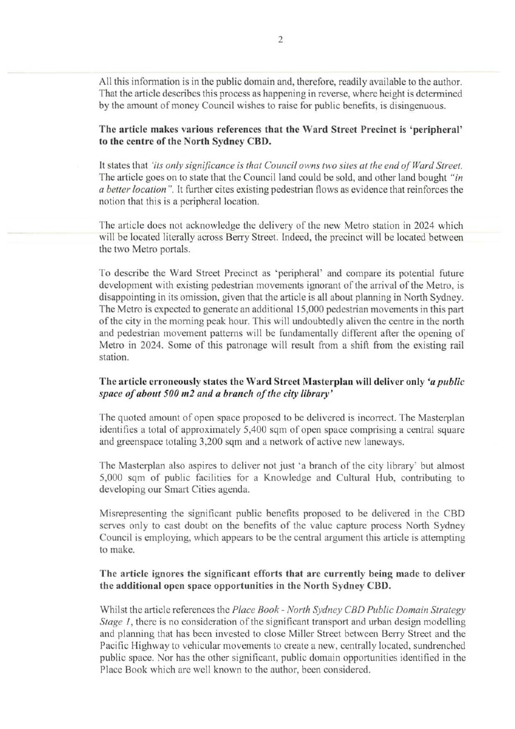All this information is in the public domain and, therefore, readily available to the author. That the article describes this process as happening in reverse, where height is determined by the amount of money Council wishes to raise for public benefits, is disingenuous.

The article makes various references that the Ward Street Precinct is 'peripheral' to the centre of the North Sydney CBD.

It states that *'its only significance is that Council owns two sites at the end of Ward Street.*  The article goes on to state that the Council land could be sold, and other land bought *"in a beller location* ". It further cites existing pedestrian flows as evidence that reinforces the notion that this is a peripheral location.

The article does not acknowledge the delivery of the new Metro station in 2024 which will be located literally across Berry Street. Indeed, the precinct will be located between the two Metro portals.

To describe the Ward Street Precinct as 'peripheral' and compare its potential future development with existing pedestrian movements ignorant of the arrival of the Metro, is disappointing in its omission, given that the article is all about planning in North Sydney. The Metro is expected to generate an additional 15,000 pedestrian movements in this part of the city in the morning peak hour. This will undoubtedly aliven the centre in the north and pedestrian movement patterns will be fundamentally different after the opening of Metro in 2024. Some of this patronage will result from a shift from the existing rail station.

## The article erroneously states the Ward Street Masterplan will deliver only *'a public space of about 500m2 and a branch of the city library'*

The quoted amount of open space proposed to be delivered is incorrect. The Masterplan identifies a total of approximately 5,400 sqm of open space comprising a central square and greenspace totaling 3,200 sqm and a network of active new lancways.

The Masterplan also aspires to deliver not just 'a branch of the city library' but almost 5,000 sqm of public facilities for a Knowledge and Cultural Hub, contributing to developing our Smart Cities agenda.

Misrepresenting the significant public benefits proposed to be delivered in the CBD serves only to cast doubt on the benefits of the value capture process North Sydney Council is employing, which appears to be the central argument this article is attempting to make.

## The article ignores the significant efforts that are currently being made to deliver the additional open space opportunities in the North Sydney CBD.

Whilst the article references the *Place Book- North Sydney CBD Public Domain Strategy Stage 1*, there is no consideration of the significant transport and urban design modelling and planning that has been invested to close Miller Street between Berry Street and the Pacific Highway to vehicular movements to create a new, centrally located, sundrenched public space. Nor has the other significant, public domain opportunities identified in the Place Book which are well known to the author, been considered.